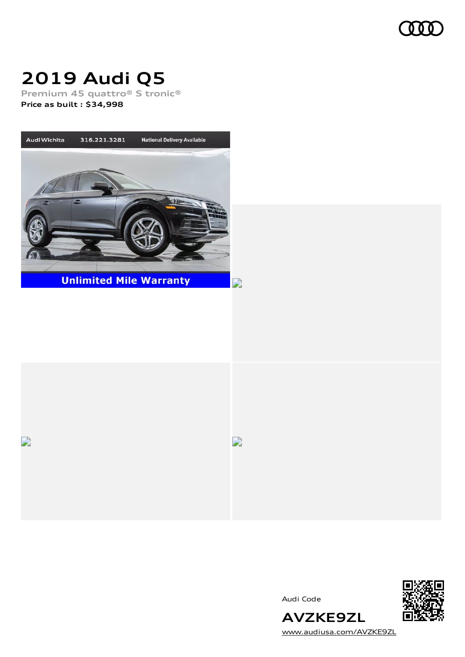

# **2019 Audi Q5**

**Premium 45 quattro® S tronic®**

**Price as built [:](#page-10-0) \$34,998**





Audi Code



[www.audiusa.com/AVZKE9ZL](https://www.audiusa.com/AVZKE9ZL)

**AVZKE9ZL**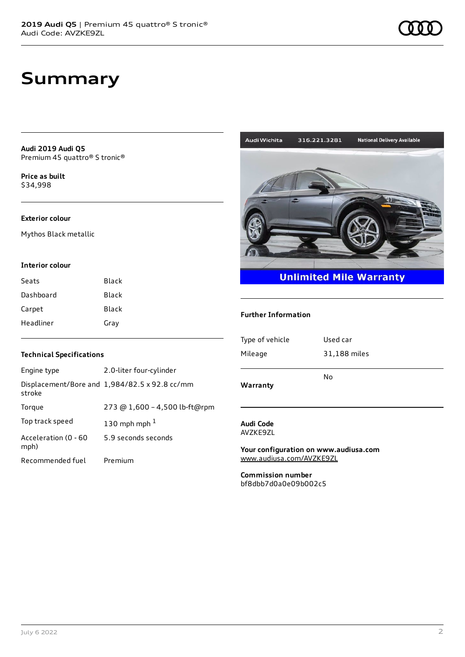**Audi 2019 Audi Q5** Premium 45 quattro® S tronic®

**Price as buil[t](#page-10-0)** \$34,998

# **Exterior colour**

Mythos Black metallic

### **Interior colour**

| Seats     | Black |
|-----------|-------|
| Dashboard | Black |
| Carpet    | Black |
| Headliner | Gray  |

# **Unlimited Mile Warranty**

316.221.3281

### **Further Information**

Audi Wichita

| Type of vehicle | Used car     |
|-----------------|--------------|
| Mileage         | 31,188 miles |
|                 |              |
|                 | No           |
| Warranty        |              |

### **Audi Code** AVZKE9ZL

**Your configuration on www.audiusa.com** [www.audiusa.com/AVZKE9ZL](https://www.audiusa.com/AVZKE9ZL)

**Commission number** bf8dbb7d0a0e09b002c5

# **Technical Specifications**

| Engine type                  | 2.0-liter four-cylinder                       |
|------------------------------|-----------------------------------------------|
| stroke                       | Displacement/Bore and 1,984/82.5 x 92.8 cc/mm |
| Torque                       | 273 @ 1,600 - 4,500 lb-ft@rpm                 |
| Top track speed              | 130 mph mph $1$                               |
| Acceleration (0 - 60<br>mph) | 5.9 seconds seconds                           |
| Recommended fuel             | Premium                                       |

**National Delivery Available**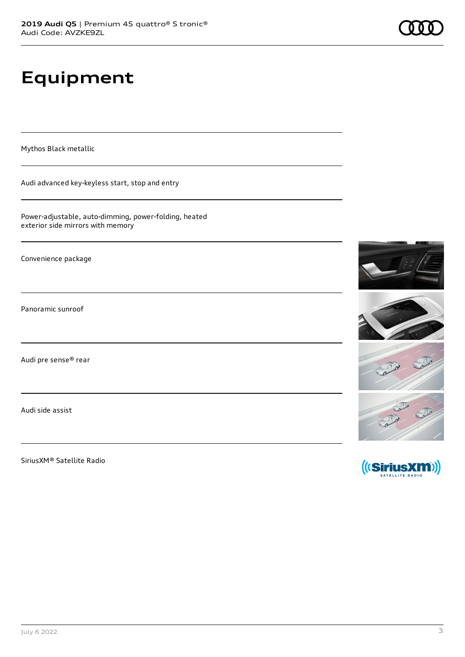# **Equipment**

Mythos Black metallic

Audi advanced key-keyless start, stop and entry

Power-adjustable, auto-dimming, power-folding, heated exterior side mirrors with memory

Convenience package

Panoramic sunroof

Audi pre sense® rear

Audi side assist

SiriusXM® Satellite Radio

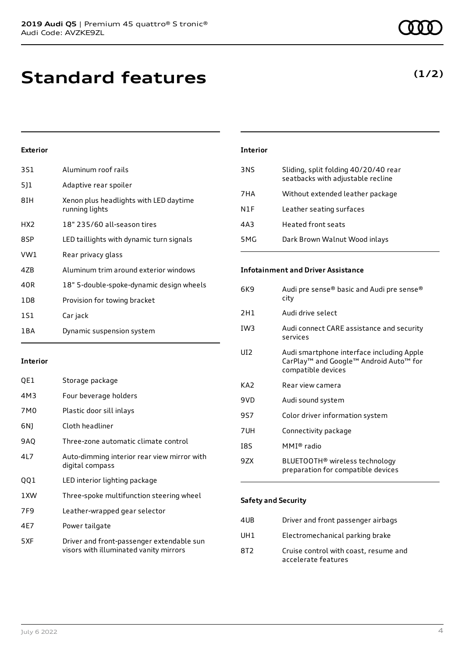**Standard features**

# **Exterior**

| 3S1   | Aluminum roof rails                                      |
|-------|----------------------------------------------------------|
| 5]1   | Adaptive rear spoiler                                    |
| 8IH   | Xenon plus headlights with LED daytime<br>running lights |
| HX2   | 18" 235/60 all-season tires                              |
| 8SP   | LED taillights with dynamic turn signals                 |
| VW1   | Rear privacy glass                                       |
| 47B   | Aluminum trim around exterior windows                    |
| 40R   | 18" 5-double-spoke-dynamic design wheels                 |
| 1D8   | Provision for towing bracket                             |
| 1S1   | Car jack                                                 |
| 1 B A | Dynamic suspension system                                |

### **Interior**

| QE1 | Storage package                                                                     |
|-----|-------------------------------------------------------------------------------------|
| 4M3 | Four beverage holders                                                               |
| 7M0 | Plastic door sill inlays                                                            |
| 6N) | Cloth headliner                                                                     |
| 9AQ | Three-zone automatic climate control                                                |
| 417 | Auto-dimming interior rear view mirror with<br>digital compass                      |
| QQ1 | LED interior lighting package                                                       |
| 1XW | Three-spoke multifunction steering wheel                                            |
| 7F9 | Leather-wrapped gear selector                                                       |
| 4E7 | Power tailgate                                                                      |
| 5XF | Driver and front-passenger extendable sun<br>visors with illuminated vanity mirrors |

# **Interior** 3NS Sliding, split folding 40/20/40 rear seatbacks with adjustable recline 7HA Without extended leather package N1F Leather seating surfaces 4A3 Heated front seats 5MG Dark Brown Walnut Wood inlays

# **Infotainment and Driver Assistance**

| 6K9 | Audi pre sense® basic and Audi pre sense®<br>city                                                         |
|-----|-----------------------------------------------------------------------------------------------------------|
| 2H1 | Audi drive select                                                                                         |
| IW3 | Audi connect CARE assistance and security<br>services                                                     |
| UI2 | Audi smartphone interface including Apple<br>CarPlay™ and Google™ Android Auto™ for<br>compatible devices |
| KA2 | Rear view camera                                                                                          |
| 9VD | Audi sound system                                                                                         |
| 9S7 | Color driver information system                                                                           |
| 7UH | Connectivity package                                                                                      |
| 18S | MMI® radio                                                                                                |
| 9ZX | BLUETOOTH® wireless technology<br>preparation for compatible devices                                      |

# **Safety and Security**

| 4UB | Driver and front passenger airbags                           |
|-----|--------------------------------------------------------------|
| UH1 | Electromechanical parking brake                              |
| 8T2 | Cruise control with coast, resume and<br>accelerate features |

**(1/2)**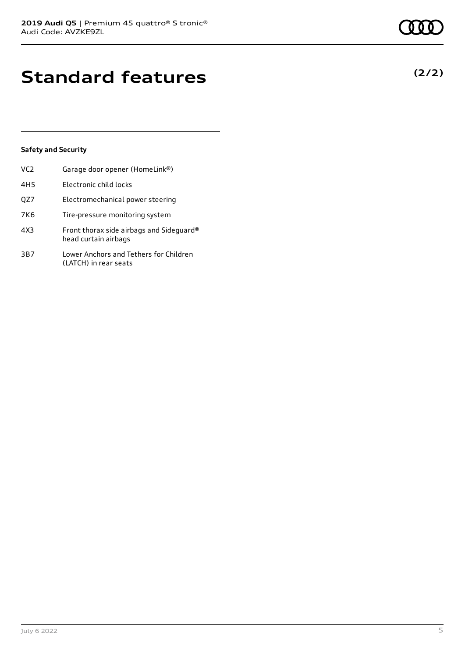# **Standard features**

# **Safety and Security**

| VC <sub>2</sub> | Garage door opener (HomeLink®)                                   |
|-----------------|------------------------------------------------------------------|
| 4H <sub>5</sub> | Electronic child locks                                           |
| QZ7             | Electromechanical power steering                                 |
| 7K6             | Tire-pressure monitoring system                                  |
| 4X3             | Front thorax side airbags and Sideguard®<br>head curtain airbags |
| 3B7             | Lower Anchors and Tethers for Children<br>(LATCH) in rear seats  |

**(2/2)**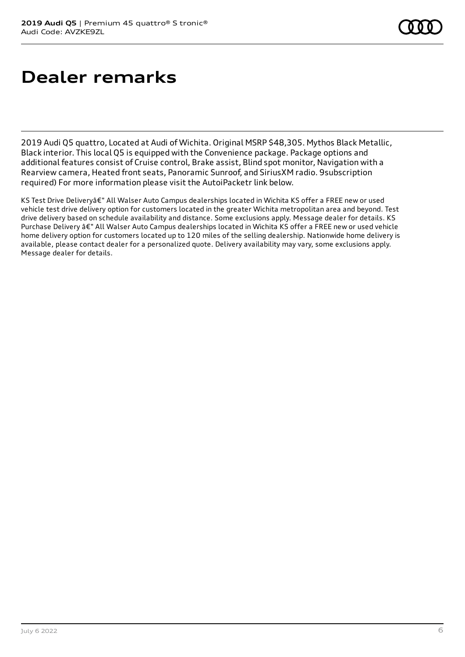# **Dealer remarks**

2019 Audi Q5 quattro, Located at Audi of Wichita. Original MSRP \$48,305. Mythos Black Metallic, Black interior. This local Q5 is equipped with the Convenience package. Package options and additional features consist of Cruise control, Brake assist, Blind spot monitor, Navigation with a Rearview camera, Heated front seats, Panoramic Sunroof, and SiriusXM radio. 9subscription required) For more information please visit the AutoiPacketr link below.

KS Test Drive Deliveryâ€" All Walser Auto Campus dealerships located in Wichita KS offer a FREE new or used vehicle test drive delivery option for customers located in the greater Wichita metropolitan area and beyond. Test drive delivery based on schedule availability and distance. Some exclusions apply. Message dealer for details. KS Purchase Delivery â€" All Walser Auto Campus dealerships located in Wichita KS offer a FREE new or used vehicle home delivery option for customers located up to 120 miles of the selling dealership. Nationwide home delivery is available, please contact dealer for a personalized quote. Delivery availability may vary, some exclusions apply. Message dealer for details.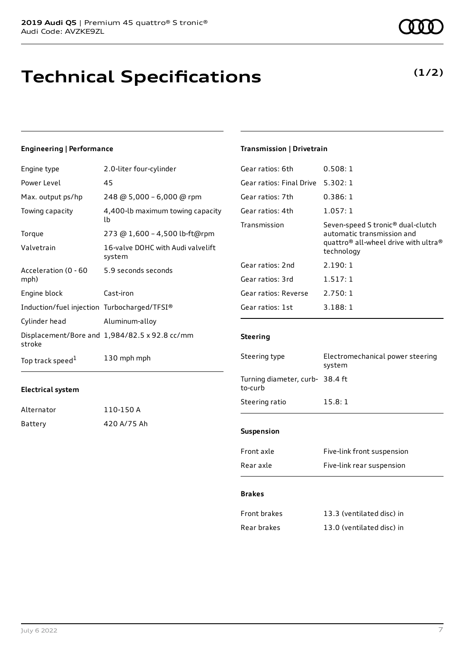# **Technical Specifications**

# **Engineering | Performance**

| Engine type                                 | 2.0-liter four-cylinder                       |
|---------------------------------------------|-----------------------------------------------|
| Power Level                                 | 45                                            |
| Max. output ps/hp                           | 248 @ 5,000 - 6,000 @ rpm                     |
| Towing capacity                             | 4,400-lb maximum towing capacity<br>lb        |
| Torque                                      | 273 @ 1,600 - 4,500 lb-ft@rpm                 |
| Valvetrain                                  | 16-valve DOHC with Audi valvelift<br>system   |
| Acceleration (0 - 60<br>mph)                | 5.9 seconds seconds                           |
| Engine block                                | Cast-iron                                     |
| Induction/fuel injection Turbocharged/TFSI® |                                               |
| Cylinder head                               | Aluminum-alloy                                |
| stroke                                      | Displacement/Bore and 1,984/82.5 x 92.8 cc/mm |
| Top track speed <sup>1</sup>                | 130 mph mph                                   |

### **Electrical system**

| Alternator | 110-150 A   |
|------------|-------------|
| Battery    | 420 A/75 Ah |

# **Transmission | Drivetrain**

| Gear ratios: 6th         | 0.508:1                                                                                                                                                   |
|--------------------------|-----------------------------------------------------------------------------------------------------------------------------------------------------------|
| Gear ratios: Final Drive | 5.302:1                                                                                                                                                   |
| Gear ratios: 7th         | 0.386:1                                                                                                                                                   |
| Gear ratios: 4th         | 1.057:1                                                                                                                                                   |
| Transmission             | Seven-speed S tronic <sup>®</sup> dual-clutch<br>automatic transmission and<br>quattro <sup>®</sup> all-wheel drive with ultra <sup>®</sup><br>technology |
| Gear ratios: 2nd         | 2.190:1                                                                                                                                                   |
| Gear ratios: 3rd         | 1.517:1                                                                                                                                                   |
| Gear ratios: Reverse     | 2.750:1                                                                                                                                                   |
| Gear ratios: 1st         | 3.188:1                                                                                                                                                   |
|                          |                                                                                                                                                           |

# **Steering**

| Steering type                              | Electromechanical power steering<br>system |
|--------------------------------------------|--------------------------------------------|
| Turning diameter, curb- 38.4 ft<br>to-curb |                                            |
| Steering ratio                             | 15.8:1                                     |
|                                            |                                            |
| <b>Suspension</b>                          |                                            |
| Front axle                                 | Five-link front suspension                 |
| Rear axle                                  | Five-link rear suspension                  |

### **Brakes**

| Front brakes | 13.3 (ventilated disc) in |
|--------------|---------------------------|
| Rear brakes  | 13.0 (ventilated disc) in |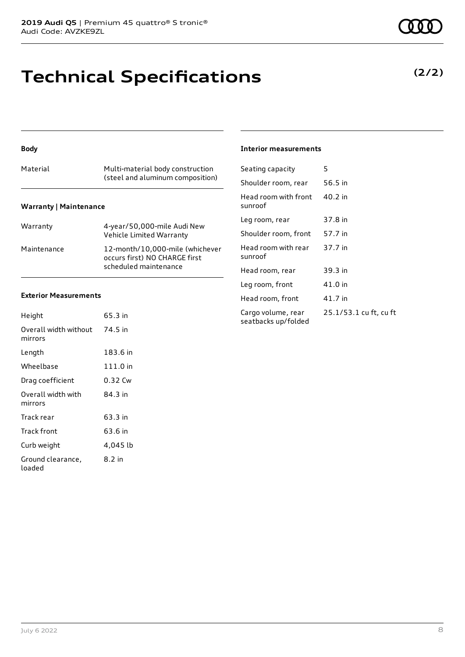# **Technical Specifications**

## **Body**

| Material                      | Multi-material body construction<br>(steel and aluminum composition) |
|-------------------------------|----------------------------------------------------------------------|
| <b>Warranty   Maintenance</b> |                                                                      |

| Warranty    | 4-year/50,000-mile Audi New<br>Vehicle Limited Warranty                                   |
|-------------|-------------------------------------------------------------------------------------------|
| Maintenance | 12-month/10.000-mile (whichever<br>occurs first) NO CHARGE first<br>scheduled maintenance |

### **Exterior Measurements**

| Height                           | 65.3 in  |
|----------------------------------|----------|
| Overall width without<br>mirrors | 74.5 in  |
| Length                           | 183.6 in |
| Wheelbase                        | 111.0 in |
| Drag coefficient                 | 0.32 Cw  |
| Overall width with<br>mirrors    | 84.3 in  |
| Track rear                       | 63.3 in  |
| Track front                      | 63.6 in  |
| Curb weight                      | 4,045 lb |
| Ground clearance,<br>loaded      | 8.2 in   |

### **Interior measurements**

| Seating capacity                          | 5                      |
|-------------------------------------------|------------------------|
| Shoulder room, rear                       | 56.5 in                |
| Head room with front<br>sunroof           | 40.2 in                |
| Leg room, rear                            | 37.8 in                |
| Shoulder room, front                      | 57.7 in                |
| Head room with rear<br>sunroof            | 37.7 in                |
| Head room, rear                           | 39.3 in                |
| Leg room, front                           | 41.0 in                |
| Head room, front                          | 41.7 in                |
| Cargo volume, rear<br>seatbacks up/folded | 25.1/53.1 cu ft, cu ft |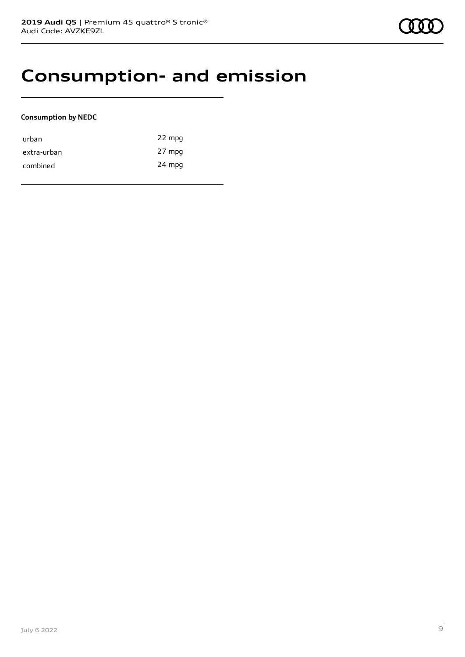# **Consumption- and emission**

# **Consumption by NEDC**

| urban       | 22 mpg |
|-------------|--------|
| extra-urban | 27 mpg |
| combined    | 24 mpg |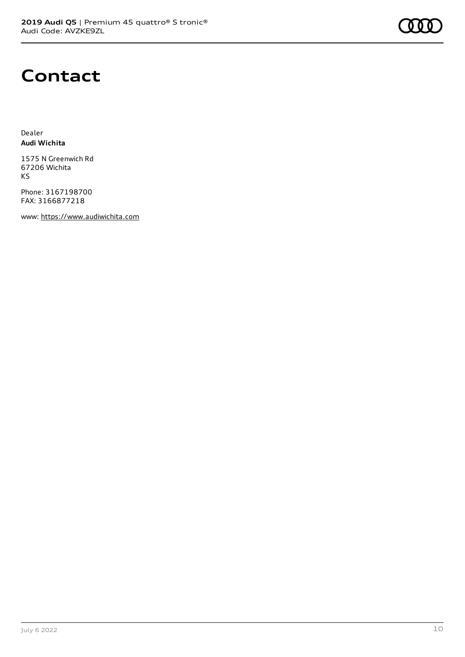

# **Contact**

Dealer **Audi Wichita**

1575 N Greenwich Rd 67206 Wichita KS

Phone: 3167198700 FAX: 3166877218

www: [https://www.audiwichita.com](https://www.audiwichita.com/)